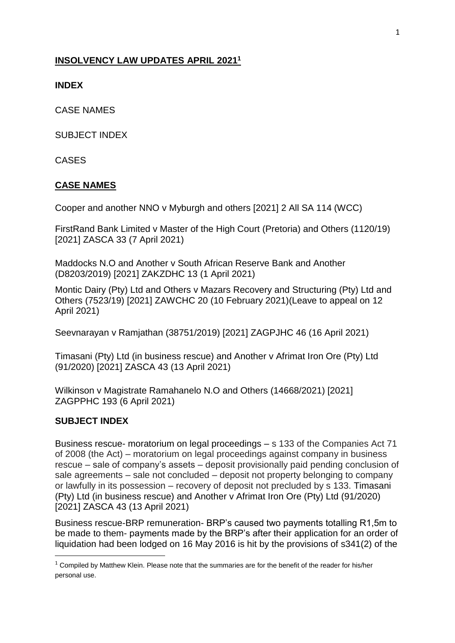## **INSOLVENCY LAW UPDATES APRIL 2021<sup>1</sup>**

#### **INDEX**

CASE NAMES

SUBJECT INDEX

CASES

### **CASE NAMES**

Cooper and another NNO v Myburgh and others [2021] 2 All SA 114 (WCC)

FirstRand Bank Limited v Master of the High Court (Pretoria) and Others (1120/19) [2021] ZASCA 33 (7 April 2021)

Maddocks N.O and Another v South African Reserve Bank and Another (D8203/2019) [2021] ZAKZDHC 13 (1 April 2021)

Montic Dairy (Pty) Ltd and Others v Mazars Recovery and Structuring (Pty) Ltd and Others (7523/19) [2021] ZAWCHC 20 (10 February 2021)(Leave to appeal on 12 April 2021)

Seevnarayan v Ramjathan (38751/2019) [2021] ZAGPJHC 46 (16 April 2021)

Timasani (Pty) Ltd (in business rescue) and Another v Afrimat Iron Ore (Pty) Ltd (91/2020) [2021] ZASCA 43 (13 April 2021)

Wilkinson v Magistrate Ramahanelo N.O and Others (14668/2021) [2021] ZAGPPHC 193 (6 April 2021)

### **SUBJECT INDEX**

1

Business rescue- moratorium on legal proceedings – s 133 of the Companies Act 71 of 2008 (the Act) – moratorium on legal proceedings against company in business rescue – sale of company's assets – deposit provisionally paid pending conclusion of sale agreements – sale not concluded – deposit not property belonging to company or lawfully in its possession – recovery of deposit not precluded by s 133. Timasani (Pty) Ltd (in business rescue) and Another v Afrimat Iron Ore (Pty) Ltd (91/2020) [2021] ZASCA 43 (13 April 2021)

Business rescue-BRP remuneration- BRP's caused two payments totalling R1,5m to be made to them- payments made by the BRP's after their application for an order of liquidation had been lodged on 16 May 2016 is hit by the provisions of s341(2) of the

 $1$  Compiled by Matthew Klein. Please note that the summaries are for the benefit of the reader for his/her personal use.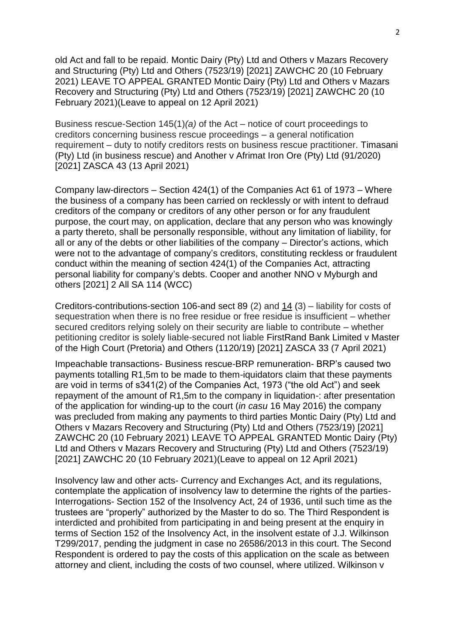old Act and fall to be repaid. Montic Dairy (Pty) Ltd and Others v Mazars Recovery and Structuring (Pty) Ltd and Others (7523/19) [2021] ZAWCHC 20 (10 February 2021) LEAVE TO APPEAL GRANTED Montic Dairy (Pty) Ltd and Others v Mazars Recovery and Structuring (Pty) Ltd and Others (7523/19) [2021] ZAWCHC 20 (10 February 2021)(Leave to appeal on 12 April 2021)

Business rescue-Section 145(1)*(a)* of the Act – notice of court proceedings to creditors concerning business rescue proceedings – a general notification requirement – duty to notify creditors rests on business rescue practitioner. Timasani (Pty) Ltd (in business rescue) and Another v Afrimat Iron Ore (Pty) Ltd (91/2020) [2021] ZASCA 43 (13 April 2021)

Company law-directors – Section 424(1) of the Companies Act 61 of 1973 – Where the business of a company has been carried on recklessly or with intent to defraud creditors of the company or creditors of any other person or for any fraudulent purpose, the court may, on application, declare that any person who was knowingly a party thereto, shall be personally responsible, without any limitation of liability, for all or any of the debts or other liabilities of the company – Director's actions, which were not to the advantage of company's creditors, constituting reckless or fraudulent conduct within the meaning of section 424(1) of the Companies Act, attracting personal liability for company's debts. Cooper and another NNO v Myburgh and others [2021] 2 All SA 114 (WCC)

Creditors-contributions-section 106-and sect 89 (2) and [14](http://www.saflii.org/za/legis/consol_act/ia1936149/index.html#s14) (3) – liability for costs of sequestration when there is no free residue or free residue is insufficient – whether secured creditors relying solely on their security are liable to contribute – whether petitioning creditor is solely liable-secured not liable FirstRand Bank Limited v Master of the High Court (Pretoria) and Others (1120/19) [2021] ZASCA 33 (7 April 2021)

Impeachable transactions- Business rescue-BRP remuneration- BRP's caused two payments totalling R1,5m to be made to them-iquidators claim that these payments are void in terms of s341(2) of the Companies Act, 1973 ("the old Act") and seek repayment of the amount of R1,5m to the company in liquidation-: after presentation of the application for winding-up to the court (*in casu* 16 May 2016) the company was precluded from making any payments to third parties Montic Dairy (Pty) Ltd and Others v Mazars Recovery and Structuring (Pty) Ltd and Others (7523/19) [2021] ZAWCHC 20 (10 February 2021) LEAVE TO APPEAL GRANTED Montic Dairy (Pty) Ltd and Others v Mazars Recovery and Structuring (Pty) Ltd and Others (7523/19) [2021] ZAWCHC 20 (10 February 2021)(Leave to appeal on 12 April 2021)

Insolvency law and other acts- [Currency and Exchanges Act, and](http://www.saflii.org/za/legis/consol_act/caea1933213/) its regulations, contemplate the application of insolvency law to determine the rights of the parties-Interrogations- [Section 152](http://www.saflii.org/za/legis/consol_act/ia1936149/index.html#s152) of the [Insolvency Act, 24 of 1936,](http://www.saflii.org/za/legis/consol_act/ia1936149/) until such time as the trustees are "properly" authorized by the Master to do so. The Third Respondent is interdicted and prohibited from participating in and being present at the enquiry in terms of [Section 152](http://www.saflii.org/za/legis/consol_act/ia1936149/index.html#s152) of the [Insolvency Act, in](http://www.saflii.org/za/legis/consol_act/ia1936149/) the insolvent estate of J.J. Wilkinson T299/2017, pending the judgment in case no 26586/2013 in this court. The Second Respondent is ordered to pay the costs of this application on the scale as between attorney and client, including the costs of two counsel, where utilized. Wilkinson v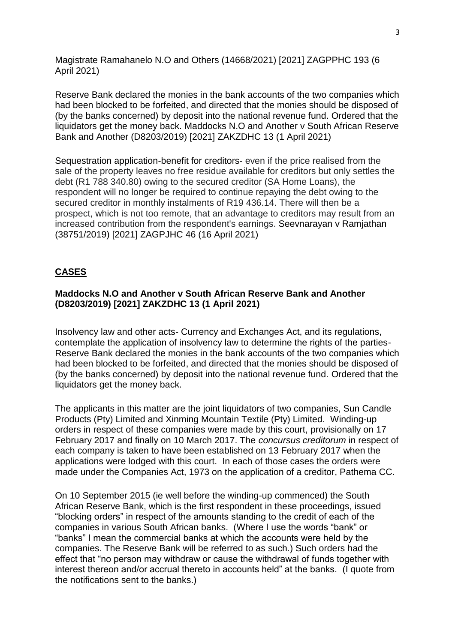Magistrate Ramahanelo N.O and Others (14668/2021) [2021] ZAGPPHC 193 (6 April 2021)

Reserve Bank declared the monies in the bank accounts of the two companies which had been blocked to be forfeited, and directed that the monies should be disposed of (by the banks concerned) by deposit into the national revenue fund. Ordered that the liquidators get the money back. Maddocks N.O and Another v South African Reserve Bank and Another (D8203/2019) [2021] ZAKZDHC 13 (1 April 2021)

Sequestration application-benefit for creditors- even if the price realised from the sale of the property leaves no free residue available for creditors but only settles the debt (R1 788 340.80) owing to the secured creditor (SA Home Loans), the respondent will no longer be required to continue repaying the debt owing to the secured creditor in monthly instalments of R19 436.14. There will then be a prospect, which is not too remote, that an advantage to creditors may result from an increased contribution from the respondent's earnings. Seevnarayan v Ramjathan (38751/2019) [2021] ZAGPJHC 46 (16 April 2021)

## **CASES**

## **Maddocks N.O and Another v South African Reserve Bank and Another (D8203/2019) [2021] ZAKZDHC 13 (1 April 2021)**

Insolvency law and other acts- [Currency and Exchanges Act, and](http://www.saflii.org/za/legis/consol_act/caea1933213/) its regulations, contemplate the application of insolvency law to determine the rights of the parties-Reserve Bank declared the monies in the bank accounts of the two companies which had been blocked to be forfeited, and directed that the monies should be disposed of (by the banks concerned) by deposit into the national revenue fund. Ordered that the liquidators get the money back.

The applicants in this matter are the joint liquidators of two companies, Sun Candle Products (Pty) Limited and Xinming Mountain Textile (Pty) Limited. Winding-up orders in respect of these companies were made by this court, provisionally on 17 February 2017 and finally on 10 March 2017. The *concursus creditorum* in respect of each company is taken to have been established on 13 February 2017 when the applications were lodged with this court. In each of those cases the orders were made under the Companies Act, 1973 on the application of a creditor, Pathema CC.

On 10 September 2015 (ie well before the winding-up commenced) the South African Reserve Bank, which is the first respondent in these proceedings, issued "blocking orders" in respect of the amounts standing to the credit of each of the companies in various South African banks. (Where I use the words "bank" or "banks" I mean the commercial banks at which the accounts were held by the companies. The Reserve Bank will be referred to as such.) Such orders had the effect that "no person may withdraw or cause the withdrawal of funds together with interest thereon and/or accrual thereto in accounts held" at the banks. (I quote from the notifications sent to the banks.)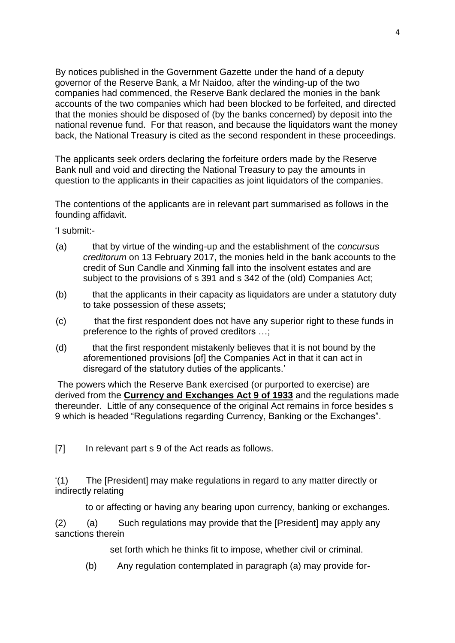By notices published in the Government Gazette under the hand of a deputy governor of the Reserve Bank, a Mr Naidoo, after the winding-up of the two companies had commenced, the Reserve Bank declared the monies in the bank accounts of the two companies which had been blocked to be forfeited, and directed that the monies should be disposed of (by the banks concerned) by deposit into the national revenue fund. For that reason, and because the liquidators want the money back, the National Treasury is cited as the second respondent in these proceedings.

The applicants seek orders declaring the forfeiture orders made by the Reserve Bank null and void and directing the National Treasury to pay the amounts in question to the applicants in their capacities as joint liquidators of the companies.

The contentions of the applicants are in relevant part summarised as follows in the founding affidavit.

'I submit:-

- (a) that by virtue of the winding-up and the establishment of the *concursus creditorum* on 13 February 2017, the monies held in the bank accounts to the credit of Sun Candle and Xinming fall into the insolvent estates and are subject to the provisions of s 391 and s 342 of the (old) Companies Act;
- (b) that the applicants in their capacity as liquidators are under a statutory duty to take possession of these assets;
- (c) that the first respondent does not have any superior right to these funds in preference to the rights of proved creditors …;
- (d) that the first respondent mistakenly believes that it is not bound by the aforementioned provisions [of] the Companies Act in that it can act in disregard of the statutory duties of the applicants.'

The powers which the Reserve Bank exercised (or purported to exercise) are derived from the **[Currency and Exchanges Act 9 of 1933](http://www.saflii.org/za/legis/consol_act/caea1933213/)** and the regulations made thereunder. Little of any consequence of the original Act remains in force besides s 9 which is headed "Regulations regarding Currency, Banking or the Exchanges".

[7] In relevant part s 9 of the Act reads as follows.

'(1) The [President] may make regulations in regard to any matter directly or indirectly relating

to or affecting or having any bearing upon currency, banking or exchanges.

(2) (a) Such regulations may provide that the [President] may apply any sanctions therein

set forth which he thinks fit to impose, whether civil or criminal.

(b) Any regulation contemplated in paragraph (a) may provide for-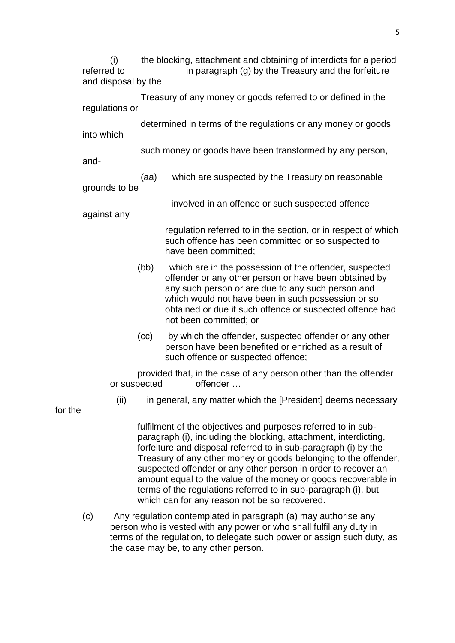(i) the blocking, attachment and obtaining of interdicts for a period referred to in paragraph (g) by the Treasury and the forfeiture and disposal by the

 Treasury of any money or goods referred to or defined in the regulations or

 determined in terms of the regulations or any money or goods into which

such money or goods have been transformed by any person,

and-

 (aa) which are suspected by the Treasury on reasonable grounds to be

involved in an offence or such suspected offence

against any

regulation referred to in the section, or in respect of which such offence has been committed or so suspected to have been committed;

- (bb) which are in the possession of the offender, suspected offender or any other person or have been obtained by any such person or are due to any such person and which would not have been in such possession or so obtained or due if such offence or suspected offence had not been committed; or
- (cc) by which the offender, suspected offender or any other person have been benefited or enriched as a result of such offence or suspected offence;

provided that, in the case of any person other than the offender or suspected offender …

(ii) in general, any matter which the [President] deems necessary

for the

fulfilment of the objectives and purposes referred to in subparagraph (i), including the blocking, attachment, interdicting, forfeiture and disposal referred to in sub-paragraph (i) by the Treasury of any other money or goods belonging to the offender, suspected offender or any other person in order to recover an amount equal to the value of the money or goods recoverable in terms of the regulations referred to in sub-paragraph (i), but which can for any reason not be so recovered.

(c) Any regulation contemplated in paragraph (a) may authorise any person who is vested with any power or who shall fulfil any duty in terms of the regulation, to delegate such power or assign such duty, as the case may be, to any other person.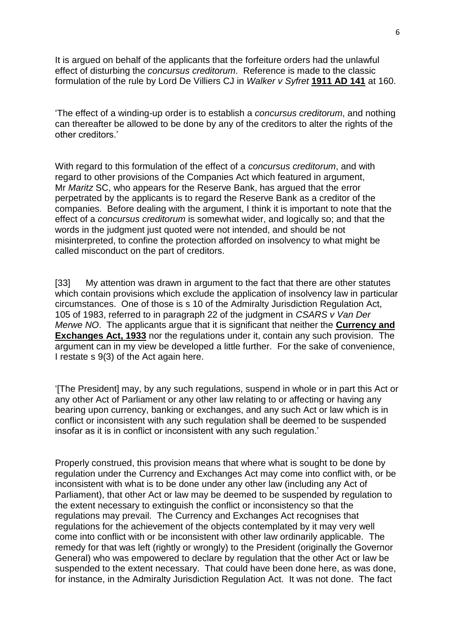It is argued on behalf of the applicants that the forfeiture orders had the unlawful effect of disturbing the *concursus creditorum*. Reference is made to the classic formulation of the rule by Lord De Villiers CJ in *Walker v Syfret* **[1911 AD 141](http://www.saflii.org/cgi-bin/LawCite?cit=1911%20AD%20141)** at 160.

'The effect of a winding-up order is to establish a *concursus creditorum*, and nothing can thereafter be allowed to be done by any of the creditors to alter the rights of the other creditors.'

With regard to this formulation of the effect of a *concursus creditorum*, and with regard to other provisions of the Companies Act which featured in argument, Mr *Maritz* SC, who appears for the Reserve Bank, has argued that the error perpetrated by the applicants is to regard the Reserve Bank as a creditor of the companies. Before dealing with the argument, I think it is important to note that the effect of a *concursus creditorum* is somewhat wider, and logically so; and that the words in the judgment just quoted were not intended, and should be not misinterpreted, to confine the protection afforded on insolvency to what might be called misconduct on the part of creditors.

[33] My attention was drawn in argument to the fact that there are other statutes which contain provisions which exclude the application of insolvency law in particular circumstances. One of those is s 10 of the Admiralty Jurisdiction Regulation Act, 105 of 1983, referred to in paragraph 22 of the judgment in *CSARS v Van Der Merwe NO*. The applicants argue that it is significant that neither the **[Currency and](http://www.saflii.org/za/legis/consol_act/caea1933213/)  [Exchanges Act, 1933](http://www.saflii.org/za/legis/consol_act/caea1933213/)** nor the regulations under it, contain any such provision. The argument can in my view be developed a little further. For the sake of convenience, I restate s 9(3) of the Act again here.

'[The President] may, by any such regulations, suspend in whole or in part this Act or any other Act of Parliament or any other law relating to or affecting or having any bearing upon currency, banking or exchanges, and any such Act or law which is in conflict or inconsistent with any such regulation shall be deemed to be suspended insofar as it is in conflict or inconsistent with any such regulation.'

Properly construed, this provision means that where what is sought to be done by regulation under the [Currency and Exchanges Act may](http://www.saflii.org/za/legis/consol_act/caea1933213/) come into conflict with, or be inconsistent with what is to be done under any other law (including any Act of Parliament), that other Act or law may be deemed to be suspended by regulation to the extent necessary to extinguish the conflict or inconsistency so that the regulations may prevail. The [Currency and Exchanges Act recognises](http://www.saflii.org/za/legis/consol_act/caea1933213/) that regulations for the achievement of the objects contemplated by it may very well come into conflict with or be inconsistent with other law ordinarily applicable. The remedy for that was left (rightly or wrongly) to the President (originally the Governor General) who was empowered to declare by regulation that the other Act or law be suspended to the extent necessary. That could have been done here, as was done, for instance, in the Admiralty Jurisdiction Regulation Act. It was not done. The fact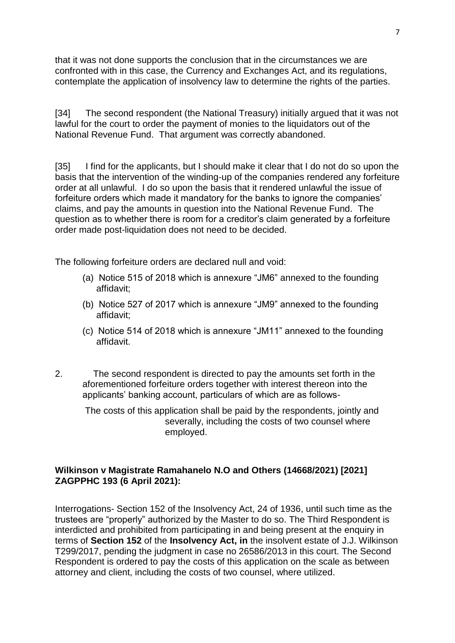that it was not done supports the conclusion that in the circumstances we are confronted with in this case, the [Currency and Exchanges Act, and](http://www.saflii.org/za/legis/consol_act/caea1933213/) its regulations, contemplate the application of insolvency law to determine the rights of the parties.

[34] The second respondent (the National Treasury) initially argued that it was not lawful for the court to order the payment of monies to the liquidators out of the National Revenue Fund. That argument was correctly abandoned.

[35] I find for the applicants, but I should make it clear that I do not do so upon the basis that the intervention of the winding-up of the companies rendered any forfeiture order at all unlawful. I do so upon the basis that it rendered unlawful the issue of forfeiture orders which made it mandatory for the banks to ignore the companies' claims, and pay the amounts in question into the National Revenue Fund. The question as to whether there is room for a creditor's claim generated by a forfeiture order made post-liquidation does not need to be decided.

The following forfeiture orders are declared null and void:

- (a) Notice 515 of 2018 which is annexure "JM6" annexed to the founding affidavit;
- (b) Notice 527 of 2017 which is annexure "JM9" annexed to the founding affidavit;
- (c) Notice 514 of 2018 which is annexure "JM11" annexed to the founding affidavit.
- 2. The second respondent is directed to pay the amounts set forth in the aforementioned forfeiture orders together with interest thereon into the applicants' banking account, particulars of which are as follows-

The costs of this application shall be paid by the respondents, jointly and severally, including the costs of two counsel where employed.

## **Wilkinson v Magistrate Ramahanelo N.O and Others (14668/2021) [2021] ZAGPPHC 193 (6 April 2021):**

Interrogations- [Section 152](http://www.saflii.org/za/legis/consol_act/ia1936149/index.html#s152) of the [Insolvency Act, 24 of 1936,](http://www.saflii.org/za/legis/consol_act/ia1936149/) until such time as the trustees are "properly" authorized by the Master to do so. The Third Respondent is interdicted and prohibited from participating in and being present at the enquiry in terms of **[Section 152](http://www.saflii.org/za/legis/consol_act/ia1936149/index.html#s152)** of the **[Insolvency Act, in](http://www.saflii.org/za/legis/consol_act/ia1936149/)** the insolvent estate of J.J. Wilkinson T299/2017, pending the judgment in case no 26586/2013 in this court. The Second Respondent is ordered to pay the costs of this application on the scale as between attorney and client, including the costs of two counsel, where utilized.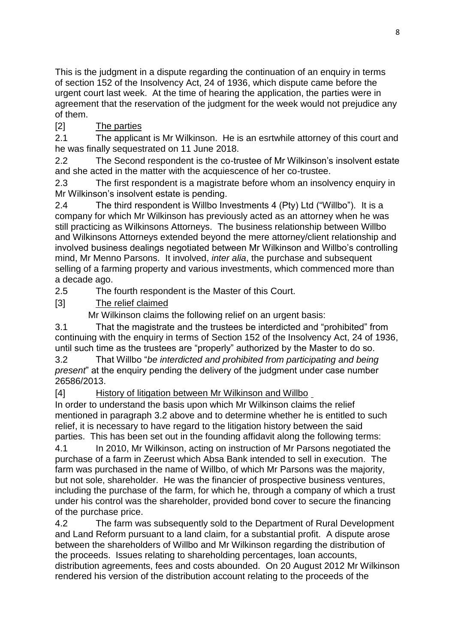This is the judgment in a dispute regarding the continuation of an enquiry in terms of [section 152](http://www.saflii.org/za/legis/consol_act/ia1936149/index.html#s152) of the [Insolvency Act, 24 of 1936,](http://www.saflii.org/za/legis/consol_act/ia1936149/) which dispute came before the urgent court last week. At the time of hearing the application, the parties were in agreement that the reservation of the judgment for the week would not prejudice any of them.

# [2] The parties

2.1 The applicant is Mr Wilkinson. He is an esrtwhile attorney of this court and he was finally sequestrated on 11 June 2018.

2.2 The Second respondent is the co-trustee of Mr Wilkinson's insolvent estate and she acted in the matter with the acquiescence of her co-trustee.

2.3 The first respondent is a magistrate before whom an insolvency enquiry in Mr Wilkinson's insolvent estate is pending.

2.4 The third respondent is Willbo Investments 4 (Pty) Ltd ("Willbo"). It is a company for which Mr Wilkinson has previously acted as an attorney when he was still practicing as Wilkinsons Attorneys. The business relationship between Willbo and Wilkinsons Attorneys extended beyond the mere attorney/client relationship and involved business dealings negotiated between Mr Wilkinson and Willbo's controlling mind, Mr Menno Parsons. It involved, *inter alia*, the purchase and subsequent selling of a farming property and various investments, which commenced more than a decade ago.

2.5 The fourth respondent is the Master of this Court.

[3] The relief claimed

Mr Wilkinson claims the following relief on an urgent basis:

3.1 That the magistrate and the trustees be interdicted and "prohibited" from continuing with the enquiry in terms of [Section 152](http://www.saflii.org/za/legis/consol_act/ia1936149/index.html#s152) of the [Insolvency Act, 24 of 1936,](http://www.saflii.org/za/legis/consol_act/ia1936149/) until such time as the trustees are "properly" authorized by the Master to do so.

3.2 That Willbo "*be interdicted and prohibited from participating and being present*" at the enquiry pending the delivery of the judgment under case number 26586/2013.

[4] History of litigation between Mr Wilkinson and Willbo

In order to understand the basis upon which Mr Wilkinson claims the relief mentioned in paragraph 3.2 above and to determine whether he is entitled to such relief, it is necessary to have regard to the litigation history between the said parties. This has been set out in the founding affidavit along the following terms:

4.1 In 2010, Mr Wilkinson, acting on instruction of Mr Parsons negotiated the purchase of a farm in Zeerust which Absa Bank intended to sell in execution. The farm was purchased in the name of Willbo, of which Mr Parsons was the majority, but not sole, shareholder. He was the financier of prospective business ventures, including the purchase of the farm, for which he, through a company of which a trust under his control was the shareholder, provided bond cover to secure the financing of the purchase price.

4.2 The farm was subsequently sold to the Department of Rural Development and Land Reform pursuant to a land claim, for a substantial profit. A dispute arose between the shareholders of Willbo and Mr Wilkinson regarding the distribution of the proceeds. Issues relating to shareholding percentages, loan accounts, distribution agreements, fees and costs abounded. On 20 August 2012 Mr Wilkinson rendered his version of the distribution account relating to the proceeds of the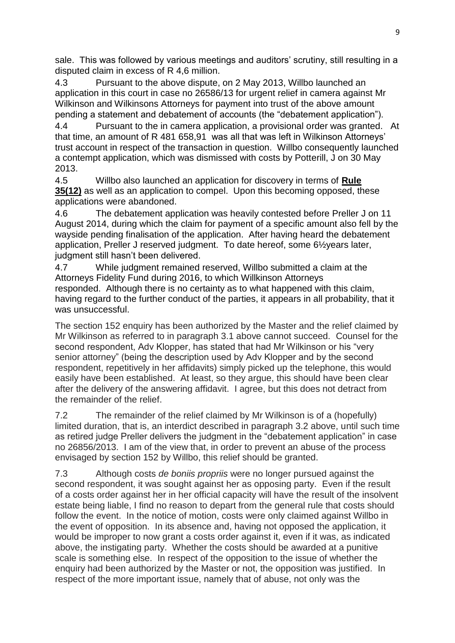sale. This was followed by various meetings and auditors' scrutiny, still resulting in a disputed claim in excess of R 4,6 million.

4.3 Pursuant to the above dispute, on 2 May 2013, Willbo launched an application in this court in case no 26586/13 for urgent relief in camera against Mr Wilkinson and Wilkinsons Attorneys for payment into trust of the above amount pending a statement and debatement of accounts (the "debatement application").

4.4 Pursuant to the in camera application, a provisional order was granted. At that time, an amount of R 481 658,91 was all that was left in Wilkinson Attorneys' trust account in respect of the transaction in question. Willbo consequently launched a contempt application, which was dismissed with costs by Potterill, J on 30 May 2013.

4.5 Willbo also launched an application for discovery in terms of **[Rule](http://www.saflii.org/za/legis/consol_act/ia1936149/index.html#s35)  [35\(12\)](http://www.saflii.org/za/legis/consol_act/ia1936149/index.html#s35)** as well as an application to compel. Upon this becoming opposed, these applications were abandoned.

4.6 The debatement application was heavily contested before Preller J on 11 August 2014, during which the claim for payment of a specific amount also fell by the wayside pending finalisation of the application. After having heard the debatement application, Preller J reserved judgment. To date hereof, some 6½years later, judgment still hasn't been delivered.

4.7 While judgment remained reserved, Willbo submitted a claim at the Attorneys Fidelity Fund during 2016, to which Willkinson Attorneys responded. Although there is no certainty as to what happened with this claim, having regard to the further conduct of the parties, it appears in all probability, that it was unsuccessful.

The section 152 enquiry has been authorized by the Master and the relief claimed by Mr Wilkinson as referred to in paragraph 3.1 above cannot succeed. Counsel for the second respondent, Adv Klopper, has stated that had Mr Wilkinson or his "very senior attorney" (being the description used by Adv Klopper and by the second respondent, repetitively in her affidavits) simply picked up the telephone, this would easily have been established. At least, so they argue, this should have been clear after the delivery of the answering affidavit. I agree, but this does not detract from the remainder of the relief.

7.2 The remainder of the relief claimed by Mr Wilkinson is of a (hopefully) limited duration, that is, an interdict described in paragraph 3.2 above, until such time as retired judge Preller delivers the judgment in the "debatement application" in case no 26856/2013. I am of the view that, in order to prevent an abuse of the process envisaged by section 152 by Willbo, this relief should be granted.

7.3 Although costs *de boniis propriis* were no longer pursued against the second respondent, it was sought against her as opposing party. Even if the result of a costs order against her in her official capacity will have the result of the insolvent estate being liable, I find no reason to depart from the general rule that costs should follow the event. In the notice of motion, costs were only claimed against Willbo in the event of opposition. In its absence and, having not opposed the application, it would be improper to now grant a costs order against it, even if it was, as indicated above, the instigating party. Whether the costs should be awarded at a punitive scale is something else. In respect of the opposition to the issue of whether the enquiry had been authorized by the Master or not, the opposition was justified. In respect of the more important issue, namely that of abuse, not only was the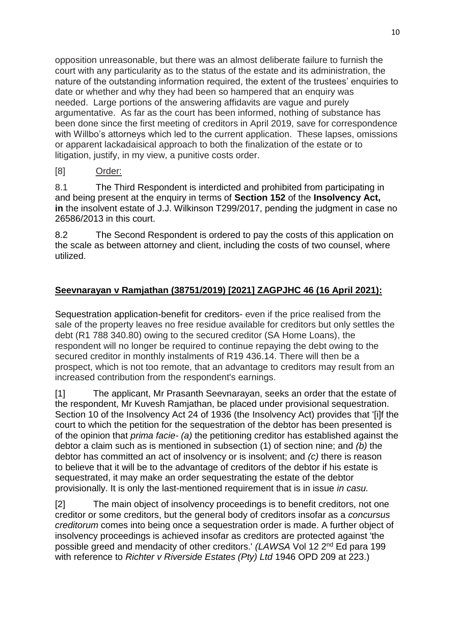opposition unreasonable, but there was an almost deliberate failure to furnish the court with any particularity as to the status of the estate and its administration, the nature of the outstanding information required, the extent of the trustees' enquiries to date or whether and why they had been so hampered that an enquiry was needed. Large portions of the answering affidavits are vague and purely argumentative. As far as the court has been informed, nothing of substance has been done since the first meeting of creditors in April 2019, save for correspondence with Willbo's attorneys which led to the current application. These lapses, omissions or apparent lackadaisical approach to both the finalization of the estate or to litigation, justify, in my view, a punitive costs order.

## [8] Order:

8.1 The Third Respondent is interdicted and prohibited from participating in and being present at the enquiry in terms of **[Section 152](http://www.saflii.org/za/legis/consol_act/ia1936149/index.html#s152)** of the **[Insolvency Act,](http://www.saflii.org/za/legis/consol_act/ia1936149/)  [in](http://www.saflii.org/za/legis/consol_act/ia1936149/)** the insolvent estate of J.J. Wilkinson T299/2017, pending the judgment in case no 26586/2013 in this court.

8.2 The Second Respondent is ordered to pay the costs of this application on the scale as between attorney and client, including the costs of two counsel, where utilized.

# **Seevnarayan v Ramjathan (38751/2019) [2021] ZAGPJHC 46 (16 April 2021):**

Sequestration application-benefit for creditors- even if the price realised from the sale of the property leaves no free residue available for creditors but only settles the debt (R1 788 340.80) owing to the secured creditor (SA Home Loans), the respondent will no longer be required to continue repaying the debt owing to the secured creditor in monthly instalments of R19 436.14. There will then be a prospect, which is not too remote, that an advantage to creditors may result from an increased contribution from the respondent's earnings.

[1] The applicant, Mr Prasanth Seevnarayan, seeks an order that the estate of the respondent, Mr Kuvesh Ramjathan, be placed under provisional sequestration. Section 10 of the Insolvency Act 24 of 1936 (the [Insolvency Act\) provides](http://www.saflii.org/za/legis/consol_act/ia1936149/) that '[i]f the court to which the petition for the sequestration of the debtor has been presented is of the opinion that *prima facie- (a)* the petitioning creditor has established against the debtor a claim such as is mentioned in subsection (1) of section nine; and *(b)* the debtor has committed an act of insolvency or is insolvent; and *(c)* there is reason to believe that it will be to the advantage of creditors of the debtor if his estate is sequestrated, it may make an order sequestrating the estate of the debtor provisionally. It is only the last-mentioned requirement that is in issue *in casu.*

[2] The main object of insolvency proceedings is to benefit creditors, not one creditor or some creditors, but the general body of creditors insofar as a *concursus creditorum* comes into being once a sequestration order is made. A further object of insolvency proceedings is achieved insofar as creditors are protected against 'the possible greed and mendacity of other creditors.' *(LAWSA Vol 12 2<sup>nd</sup> Ed para 199* with reference to *Richter v Riverside Estates (Pty) Ltd* [1946 OPD 209](http://www.saflii.org/cgi-bin/LawCite?cit=1946%20OPD%20209) at 223.)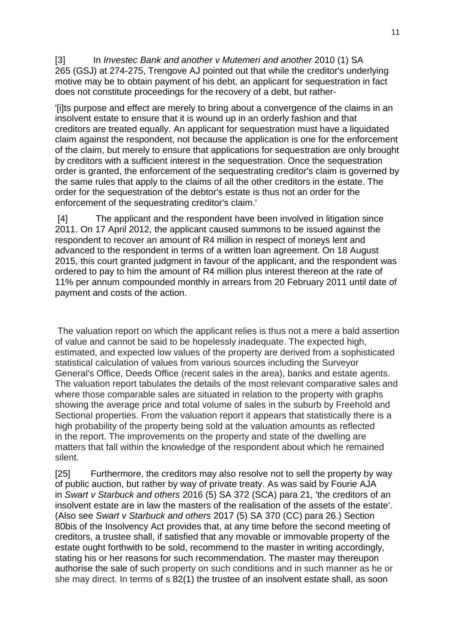[3] In *Investec Bank and another v Mutemeri and another* [2010 \(1\) SA](http://www.saflii.org/cgi-bin/LawCite?cit=2010%20%281%29%20SA%20265)  [265](http://www.saflii.org/cgi-bin/LawCite?cit=2010%20%281%29%20SA%20265) (GSJ) at 274-275, Trengove AJ pointed out that while the creditor's underlying motive may be to obtain payment of his debt, an applicant for sequestration in fact does not constitute proceedings for the recovery of a debt, but rather-

'[i]ts purpose and effect are merely to bring about a convergence of the claims in an insolvent estate to ensure that it is wound up in an orderly fashion and that creditors are treated equally. An applicant for sequestration must have a liquidated claim against the respondent, not because the application is one for the enforcement of the claim, but merely to ensure that applications for sequestration are only brought by creditors with a sufficient interest in the sequestration. Once the sequestration order is granted, the enforcement of the sequestrating creditor's claim is governed by the same rules that apply to the claims of all the other creditors in the estate. The order for the sequestration of the debtor's estate is thus not an order for the enforcement of the sequestrating creditor's claim.'

[4] The applicant and the respondent have been involved in litigation since 2011. On 17 April 2012, the applicant caused summons to be issued against the respondent to recover an amount of R4 million in respect of moneys lent and advanced to the respondent in terms of a written loan agreement. On 18 August 2015, this court granted judgment in favour of the applicant, and the respondent was ordered to pay to him the amount of R4 million plus interest thereon at the rate of 11% per annum compounded monthly in arrears from 20 February 2011 until date of payment and costs of the action.

The valuation report on which the applicant relies is thus not a mere a bald assertion of value and cannot be said to be hopelessly inadequate. The expected high, estimated, and expected low values of the property are derived from a sophisticated statistical calculation of values from various sources including the Surveyor General's Office, Deeds Office (recent sales in the area), banks and estate agents. The valuation report tabulates the details of the most relevant comparative sales and where those comparable sales are situated in relation to the property with graphs showing the average price and total volume of sales in the suburb by Freehold and Sectional properties. From the valuation report it appears that statistically there is a high probability of the property being sold at the valuation amounts as reflected in the report. The improvements on the property and state of the dwelling are matters that fall within the knowledge of the respondent about which he remained silent.

[25] Furthermore, the creditors may also resolve not to sell the property by way of public auction, but rather by way of private treaty. As was said by Fourie AJA in *Swart v Starbuck and others* [2016 \(5\) SA 372](http://www.saflii.org/cgi-bin/LawCite?cit=2016%20%285%29%20SA%20372) (SCA) para 21, 'the creditors of an insolvent estate are in law the masters of the realisation of the assets of the estate'. (Also see *Swart v Starbuck and others* [2017 \(5\) SA 370](http://www.saflii.org/cgi-bin/LawCite?cit=2017%20%285%29%20SA%20370) (CC) para 26.) [Section](http://www.saflii.org/za/legis/consol_act/ia1936149/index.html#s80bis)  [80bis](http://www.saflii.org/za/legis/consol_act/ia1936149/index.html#s80bis) of the [Insolvency Act](http://www.saflii.org/za/legis/consol_act/ia1936149/) [provides](http://www.saflii.org/za/legis/consol_act/ia1936149/) that, at any time before the second meeting of creditors, a trustee shall, if satisfied that any movable or immovable property of the estate ought forthwith to be sold, recommend to the master in writing accordingly, stating his or her reasons for such recommendation. The master may thereupon authorise the sale of such property on such conditions and in such manner as he or she may direct. In terms of [s 82\(1\)](http://www.saflii.org/za/legis/consol_act/ia1936149/index.html#s82) the trustee of an insolvent estate shall, as soon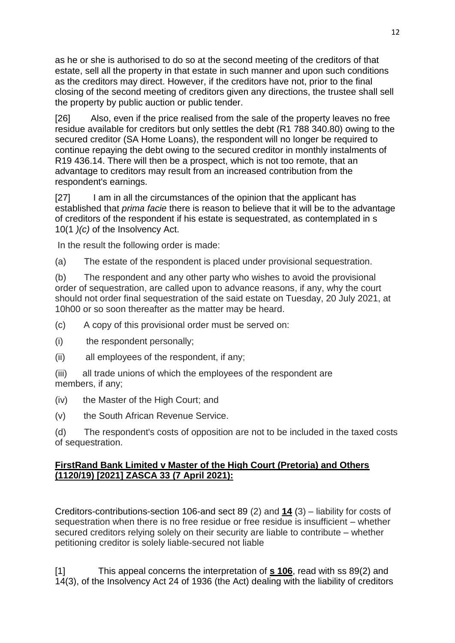as he or she is authorised to do so at the second meeting of the creditors of that estate, sell all the property in that estate in such manner and upon such conditions as the creditors may direct. However, if the creditors have not, prior to the final closing of the second meeting of creditors given any directions, the trustee shall sell the property by public auction or public tender.

[26] Also, even if the price realised from the sale of the property leaves no free residue available for creditors but only settles the debt (R1 788 340.80) owing to the secured creditor (SA Home Loans), the respondent will no longer be required to continue repaying the debt owing to the secured creditor in monthly instalments of R19 436.14. There will then be a prospect, which is not too remote, that an advantage to creditors may result from an increased contribution from the respondent's earnings.

[27] I am in all the circumstances of the opinion that the applicant has established that *prima facie* there is reason to believe that it will be to the advantage of creditors of the respondent if his estate is sequestrated, as contemplated in [s](http://www.saflii.org/za/legis/consol_act/ia1936149/index.html#s10)  [10\(1](http://www.saflii.org/za/legis/consol_act/ia1936149/index.html#s10) *)(c)* of the [Insolvency Act.](http://www.saflii.org/za/legis/consol_act/ia1936149/)

In the result the following order is made:

(a) The estate of the respondent is placed under provisional sequestration.

(b) The respondent and any other party who wishes to avoid the provisional order of sequestration, are called upon to advance reasons, if any, why the court should not order final sequestration of the said estate on Tuesday, 20 July 2021, at 10h00 or so soon thereafter as the matter may be heard.

- (c) A copy of this provisional order must be served on:
- (i) the respondent personally;
- (ii) all employees of the respondent, if any;

(iii) all trade unions of which the employees of the respondent are members, if any;

(iv) the Master of the High Court; and

(v) the South African Revenue Service.

(d) The respondent's costs of opposition are not to be included in the taxed costs of sequestration.

## **FirstRand Bank Limited v Master of the High Court (Pretoria) and Others (1120/19) [2021] ZASCA 33 (7 April 2021):**

Creditors-contributions-section 106-and sect 89 (2) and **[14](http://www.saflii.org/za/legis/consol_act/ia1936149/index.html#s14)** (3) – liability for costs of sequestration when there is no free residue or free residue is insufficient – whether secured creditors relying solely on their security are liable to contribute – whether petitioning creditor is solely liable-secured not liable

[1] This appeal concerns the interpretation of **[s 106](http://www.saflii.org/za/legis/consol_act/ia1936149/index.html#s106)**, read with ss 89(2) and 14(3), of the Insolvency Act 24 of 1936 (the Act) dealing with the liability of creditors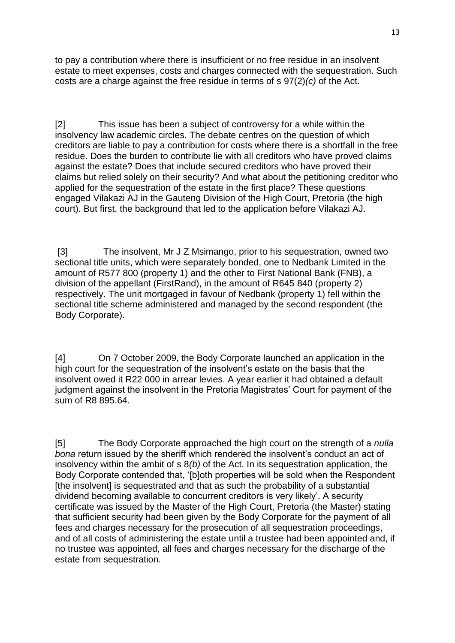to pay a contribution where there is insufficient or no free residue in an insolvent estate to meet expenses, costs and charges connected with the sequestration. Such costs are a charge against the free residue in terms of s 97(2)*(c)* of the Act.

[2] This issue has been a subject of controversy for a while within the insolvency law academic circles. The debate centres on the question of which creditors are liable to pay a contribution for costs where there is a shortfall in the free residue. Does the burden to contribute lie with all creditors who have proved claims against the estate? Does that include secured creditors who have proved their claims but relied solely on their security? And what about the petitioning creditor who applied for the sequestration of the estate in the first place? These questions engaged Vilakazi AJ in the Gauteng Division of the High Court, Pretoria (the high court). But first, the background that led to the application before Vilakazi AJ.

[3] The insolvent, Mr J Z Msimango, prior to his sequestration, owned two sectional title units, which were separately bonded, one to Nedbank Limited in the amount of R577 800 (property 1) and the other to First National Bank (FNB), a division of the appellant (FirstRand), in the amount of R645 840 (property 2) respectively. The unit mortgaged in favour of Nedbank (property 1) fell within the sectional title scheme administered and managed by the second respondent (the Body Corporate).

[4] On 7 October 2009, the Body Corporate launched an application in the high court for the sequestration of the insolvent's estate on the basis that the insolvent owed it R22 000 in arrear levies. A year earlier it had obtained a default judgment against the insolvent in the Pretoria Magistrates' Court for payment of the sum of R8 895.64.

[5] The Body Corporate approached the high court on the strength of a *nulla bona* return issued by the sheriff which rendered the insolvent's conduct an act of insolvency within the ambit of s 8*(b)* of the Act. In its sequestration application, the Body Corporate contended that, '[b]oth properties will be sold when the Respondent [the insolvent] is sequestrated and that as such the probability of a substantial dividend becoming available to concurrent creditors is very likely'. A security certificate was issued by the Master of the High Court, Pretoria (the Master) stating that sufficient security had been given by the Body Corporate for the payment of all fees and charges necessary for the prosecution of all sequestration proceedings, and of all costs of administering the estate until a trustee had been appointed and, if no trustee was appointed, all fees and charges necessary for the discharge of the estate from sequestration.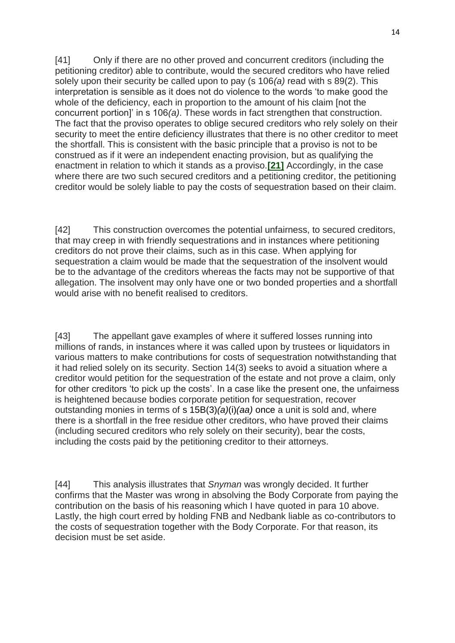[41] Only if there are no other proved and concurrent creditors (including the petitioning creditor) able to contribute, would the secured creditors who have relied solely upon their security be called upon to pay (s 106*(a)* read with s 89(2). This interpretation is sensible as it does not do violence to the words 'to make good the whole of the deficiency, each in proportion to the amount of his claim [not the concurrent portion]' in s 106*(a)*. These words in fact strengthen that construction. The fact that the proviso operates to oblige secured creditors who rely solely on their security to meet the entire deficiency illustrates that there is no other creditor to meet the shortfall. This is consistent with the basic principle that a proviso is not to be construed as if it were an independent enacting provision, but as qualifying the enactment in relation to which it stands as a proviso.**[\[21\]](http://www.saflii.org/za/cases/ZASCA/2021/33.html#_ftn21)** Accordingly, in the case where there are two such secured creditors and a petitioning creditor, the petitioning creditor would be solely liable to pay the costs of sequestration based on their claim.

[42] This construction overcomes the potential unfairness, to secured creditors, that may creep in with friendly sequestrations and in instances where petitioning creditors do not prove their claims, such as in this case. When applying for sequestration a claim would be made that the sequestration of the insolvent would be to the advantage of the creditors whereas the facts may not be supportive of that allegation. The insolvent may only have one or two bonded properties and a shortfall would arise with no benefit realised to creditors.

[43] The appellant gave examples of where it suffered losses running into millions of rands, in instances where it was called upon by trustees or liquidators in various matters to make contributions for costs of sequestration notwithstanding that it had relied solely on its security. Section 14(3) seeks to avoid a situation where a creditor would petition for the sequestration of the estate and not prove a claim, only for other creditors 'to pick up the costs'. In a case like the present one, the unfairness is heightened because bodies corporate petition for sequestration, recover outstanding monies in terms of s 15B(3)*(a)*(i)*(aa)* once a unit is sold and, where there is a shortfall in the free residue other creditors, who have proved their claims (including secured creditors who rely solely on their security), bear the costs, including the costs paid by the petitioning creditor to their attorneys.

[44] This analysis illustrates that *Snyman* was wrongly decided. It further confirms that the Master was wrong in absolving the Body Corporate from paying the contribution on the basis of his reasoning which I have quoted in para 10 above. Lastly, the high court erred by holding FNB and Nedbank liable as co-contributors to the costs of sequestration together with the Body Corporate. For that reason, its decision must be set aside.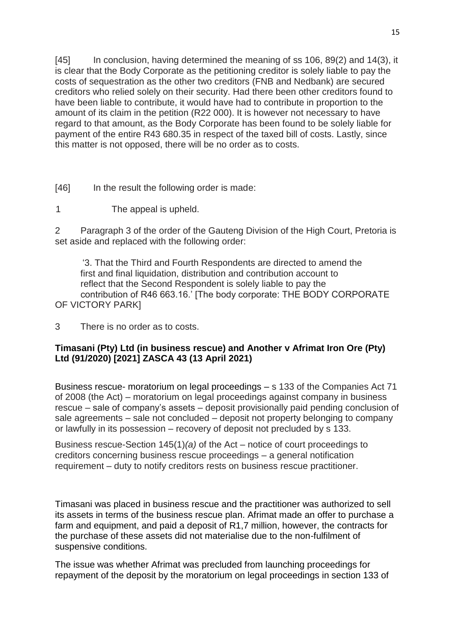[45] In conclusion, having determined the meaning of ss 106, 89(2) and 14(3), it is clear that the Body Corporate as the petitioning creditor is solely liable to pay the costs of sequestration as the other two creditors (FNB and Nedbank) are secured creditors who relied solely on their security. Had there been other creditors found to have been liable to contribute, it would have had to contribute in proportion to the amount of its claim in the petition (R22 000). It is however not necessary to have regard to that amount, as the Body Corporate has been found to be solely liable for payment of the entire R43 680.35 in respect of the taxed bill of costs. Lastly, since this matter is not opposed, there will be no order as to costs.

[46] In the result the following order is made:

1 The appeal is upheld.

2 Paragraph 3 of the order of the Gauteng Division of the High Court, Pretoria is set aside and replaced with the following order:

'3. That the Third and Fourth Respondents are directed to amend the first and final liquidation, distribution and contribution account to reflect that the Second Respondent is solely liable to pay the contribution of R46 663.16.' [The body corporate: THE BODY CORPORATE

OF VICTORY PARK]

3 There is no order as to costs.

## **Timasani (Pty) Ltd (in business rescue) and Another v Afrimat Iron Ore (Pty) Ltd (91/2020) [2021] ZASCA 43 (13 April 2021)**

Business rescue- moratorium on legal proceedings – s 133 of the Companies Act 71 of 2008 (the Act) – moratorium on legal proceedings against company in business rescue – sale of company's assets – deposit provisionally paid pending conclusion of sale agreements – sale not concluded – deposit not property belonging to company or lawfully in its possession – recovery of deposit not precluded by s 133.

Business rescue-Section 145(1)*(a)* of the Act – notice of court proceedings to creditors concerning business rescue proceedings – a general notification requirement – duty to notify creditors rests on business rescue practitioner.

Timasani was placed in business rescue and the practitioner was authorized to sell its assets in terms of the business rescue plan. Afrimat made an offer to purchase a farm and equipment, and paid a deposit of R1,7 million, however, the contracts for the purchase of these assets did not materialise due to the non-fulfilment of suspensive conditions.

The issue was whether Afrimat was precluded from launching proceedings for repayment of the deposit by the moratorium on legal proceedings in section 133 of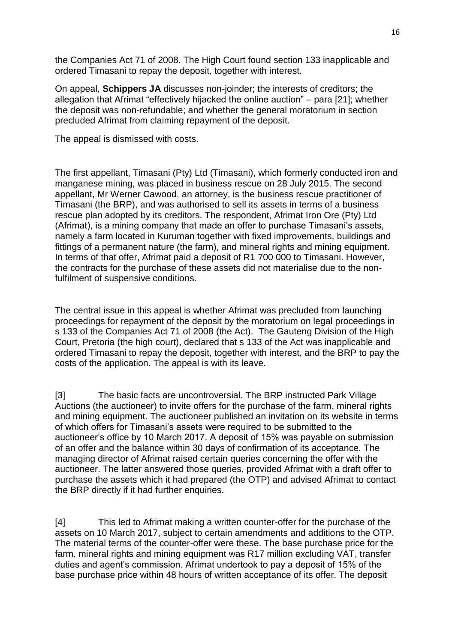the Companies Act 71 of 2008. The High Court found section 133 inapplicable and ordered Timasani to repay the deposit, together with interest.

On appeal, **Schippers JA** discusses non-joinder; the interests of creditors; the allegation that Afrimat "effectively hijacked the online auction" – para [21]; whether the deposit was non-refundable; and whether the general moratorium in section precluded Afrimat from claiming repayment of the deposit.

The appeal is dismissed with costs.

The first appellant, Timasani (Pty) Ltd (Timasani), which formerly conducted iron and manganese mining, was placed in business rescue on 28 July 2015. The second appellant, Mr Werner Cawood, an attorney, is the business rescue practitioner of Timasani (the BRP), and was authorised to sell its assets in terms of a business rescue plan adopted by its creditors. The respondent, Afrimat Iron Ore (Pty) Ltd (Afrimat), is a mining company that made an offer to purchase Timasani's assets, namely a farm located in Kuruman together with fixed improvements, buildings and fittings of a permanent nature (the farm), and mineral rights and mining equipment. In terms of that offer, Afrimat paid a deposit of R1 700 000 to Timasani. However, the contracts for the purchase of these assets did not materialise due to the nonfulfilment of suspensive conditions.

The central issue in this appeal is whether Afrimat was precluded from launching proceedings for repayment of the deposit by the moratorium on legal proceedings in s 133 of the Companies Act 71 of 2008 (the Act). The Gauteng Division of the High Court, Pretoria (the high court), declared that s 133 of the Act was inapplicable and ordered Timasani to repay the deposit, together with interest, and the BRP to pay the costs of the application. The appeal is with its leave.

[3] The basic facts are uncontroversial. The BRP instructed Park Village Auctions (the auctioneer) to invite offers for the purchase of the farm, mineral rights and mining equipment. The auctioneer published an invitation on its website in terms of which offers for Timasani's assets were required to be submitted to the auctioneer's office by 10 March 2017. A deposit of 15% was payable on submission of an offer and the balance within 30 days of confirmation of its acceptance. The managing director of Afrimat raised certain queries concerning the offer with the auctioneer. The latter answered those queries, provided Afrimat with a draft offer to purchase the assets which it had prepared (the OTP) and advised Afrimat to contact the BRP directly if it had further enquiries.

[4] This led to Afrimat making a written counter-offer for the purchase of the assets on 10 March 2017, subject to certain amendments and additions to the OTP. The material terms of the counter-offer were these. The base purchase price for the farm, mineral rights and mining equipment was R17 million excluding VAT, transfer duties and agent's commission. Afrimat undertook to pay a deposit of 15% of the base purchase price within 48 hours of written acceptance of its offer. The deposit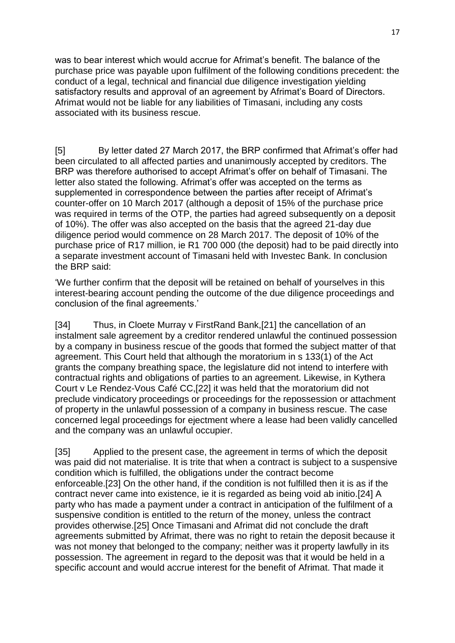was to bear interest which would accrue for Afrimat's benefit. The balance of the purchase price was payable upon fulfilment of the following conditions precedent: the conduct of a legal, technical and financial due diligence investigation yielding satisfactory results and approval of an agreement by Afrimat's Board of Directors. Afrimat would not be liable for any liabilities of Timasani, including any costs associated with its business rescue.

[5] By letter dated 27 March 2017, the BRP confirmed that Afrimat's offer had been circulated to all affected parties and unanimously accepted by creditors. The BRP was therefore authorised to accept Afrimat's offer on behalf of Timasani. The letter also stated the following. Afrimat's offer was accepted on the terms as supplemented in correspondence between the parties after receipt of Afrimat's counter-offer on 10 March 2017 (although a deposit of 15% of the purchase price was required in terms of the OTP, the parties had agreed subsequently on a deposit of 10%). The offer was also accepted on the basis that the agreed 21-day due diligence period would commence on 28 March 2017. The deposit of 10% of the purchase price of R17 million, ie R1 700 000 (the deposit) had to be paid directly into a separate investment account of Timasani held with Investec Bank. In conclusion the BRP said:

'We further confirm that the deposit will be retained on behalf of yourselves in this interest-bearing account pending the outcome of the due diligence proceedings and conclusion of the final agreements.'

[34] Thus, in Cloete Murray v FirstRand Bank,[21] the cancellation of an instalment sale agreement by a creditor rendered unlawful the continued possession by a company in business rescue of the goods that formed the subject matter of that agreement. This Court held that although the moratorium in s 133(1) of the Act grants the company breathing space, the legislature did not intend to interfere with contractual rights and obligations of parties to an agreement. Likewise, in Kythera Court v Le Rendez-Vous Café CC,[22] it was held that the moratorium did not preclude vindicatory proceedings or proceedings for the repossession or attachment of property in the unlawful possession of a company in business rescue. The case concerned legal proceedings for ejectment where a lease had been validly cancelled and the company was an unlawful occupier.

[35] Applied to the present case, the agreement in terms of which the deposit was paid did not materialise. It is trite that when a contract is subject to a suspensive condition which is fulfilled, the obligations under the contract become enforceable.[23] On the other hand, if the condition is not fulfilled then it is as if the contract never came into existence, ie it is regarded as being void ab initio.[24] A party who has made a payment under a contract in anticipation of the fulfilment of a suspensive condition is entitled to the return of the money, unless the contract provides otherwise.[25] Once Timasani and Afrimat did not conclude the draft agreements submitted by Afrimat, there was no right to retain the deposit because it was not money that belonged to the company; neither was it property lawfully in its possession. The agreement in regard to the deposit was that it would be held in a specific account and would accrue interest for the benefit of Afrimat. That made it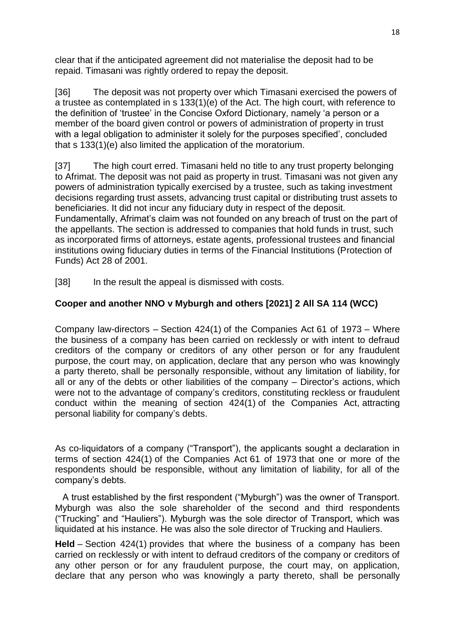clear that if the anticipated agreement did not materialise the deposit had to be repaid. Timasani was rightly ordered to repay the deposit.

[36] The deposit was not property over which Timasani exercised the powers of a trustee as contemplated in s 133(1)(e) of the Act. The high court, with reference to the definition of 'trustee' in the Concise Oxford Dictionary, namely 'a person or a member of the board given control or powers of administration of property in trust with a legal obligation to administer it solely for the purposes specified', concluded that s 133(1)(e) also limited the application of the moratorium.

[37] The high court erred. Timasani held no title to any trust property belonging to Afrimat. The deposit was not paid as property in trust. Timasani was not given any powers of administration typically exercised by a trustee, such as taking investment decisions regarding trust assets, advancing trust capital or distributing trust assets to beneficiaries. It did not incur any fiduciary duty in respect of the deposit. Fundamentally, Afrimat's claim was not founded on any breach of trust on the part of the appellants. The section is addressed to companies that hold funds in trust, such as incorporated firms of attorneys, estate agents, professional trustees and financial institutions owing fiduciary duties in terms of the Financial Institutions (Protection of Funds) Act 28 of 2001.

[38] In the result the appeal is dismissed with costs.

# **Cooper and another NNO v Myburgh and others [2021] 2 All SA 114 (WCC)**

Company law-directors – Section 424(1) of the Companies Act 61 of 1973 – Where the business of a company has been carried on recklessly or with intent to defraud creditors of the company or creditors of any other person or for any fraudulent purpose, the court may, on application, declare that any person who was knowingly a party thereto, shall be personally responsible, without any limitation of liability, for all or any of the debts or other liabilities of the company – Director's actions, which were not to the advantage of company's creditors, constituting reckless or fraudulent conduct within the meaning of section 424(1) of the Companies Act, attracting personal liability for company's debts.

As co-liquidators of a company ("Transport"), the applicants sought a declaration in terms of section 424(1) of the Companies Act 61 of 1973 that one or more of the respondents should be responsible, without any limitation of liability, for all of the company's debts.

A trust established by the first respondent ("Myburgh") was the owner of Transport. Myburgh was also the sole shareholder of the second and third respondents ("Trucking" and "Hauliers"). Myburgh was the sole director of Transport, which was liquidated at his instance. He was also the sole director of Trucking and Hauliers.

**Held** – Section 424(1) provides that where the business of a company has been carried on recklessly or with intent to defraud creditors of the company or creditors of any other person or for any fraudulent purpose, the court may, on application, declare that any person who was knowingly a party thereto, shall be personally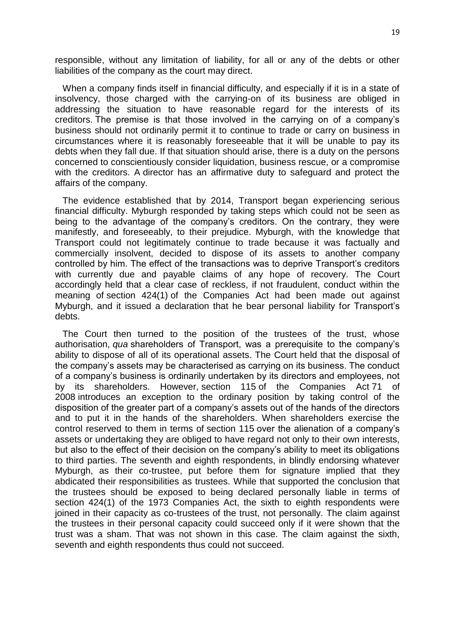responsible, without any limitation of liability, for all or any of the debts or other liabilities of the company as the court may direct.

When a company finds itself in financial difficulty, and especially if it is in a state of insolvency, those charged with the carrying-on of its business are obliged in addressing the situation to have reasonable regard for the interests of its creditors. The premise is that those involved in the carrying on of a company's business should not ordinarily permit it to continue to trade or carry on business in circumstances where it is reasonably foreseeable that it will be unable to pay its debts when they fall due. If that situation should arise, there is a duty on the persons concerned to conscientiously consider liquidation, business rescue, or a compromise with the creditors. A director has an affirmative duty to safeguard and protect the affairs of the company.

The evidence established that by 2014, Transport began experiencing serious financial difficulty. Myburgh responded by taking steps which could not be seen as being to the advantage of the company's creditors. On the contrary, they were manifestly, and foreseeably, to their prejudice. Myburgh, with the knowledge that Transport could not legitimately continue to trade because it was factually and commercially insolvent, decided to dispose of its assets to another company controlled by him. The effect of the transactions was to deprive Transport's creditors with currently due and payable claims of any hope of recovery. The Court accordingly held that a clear case of reckless, if not fraudulent, conduct within the meaning of section 424(1) of the Companies Act had been made out against Myburgh, and it issued a declaration that he bear personal liability for Transport's debts.

The Court then turned to the position of the trustees of the trust, whose authorisation, *qua* shareholders of Transport, was a prerequisite to the company's ability to dispose of all of its operational assets. The Court held that the disposal of the company's assets may be characterised as carrying on its business. The conduct of a company's business is ordinarily undertaken by its directors and employees, not by its shareholders. However, section 115 of the Companies Act 71 of 2008 introduces an exception to the ordinary position by taking control of the disposition of the greater part of a company's assets out of the hands of the directors and to put it in the hands of the shareholders. When shareholders exercise the control reserved to them in terms of section 115 over the alienation of a company's assets or undertaking they are obliged to have regard not only to their own interests, but also to the effect of their decision on the company's ability to meet its obligations to third parties. The seventh and eighth respondents, in blindly endorsing whatever Myburgh, as their co-trustee, put before them for signature implied that they abdicated their responsibilities as trustees. While that supported the conclusion that the trustees should be exposed to being declared personally liable in terms of section 424(1) of the 1973 Companies Act, the sixth to eighth respondents were joined in their capacity as co-trustees of the trust, not personally. The claim against the trustees in their personal capacity could succeed only if it were shown that the trust was a sham. That was not shown in this case. The claim against the sixth, seventh and eighth respondents thus could not succeed.